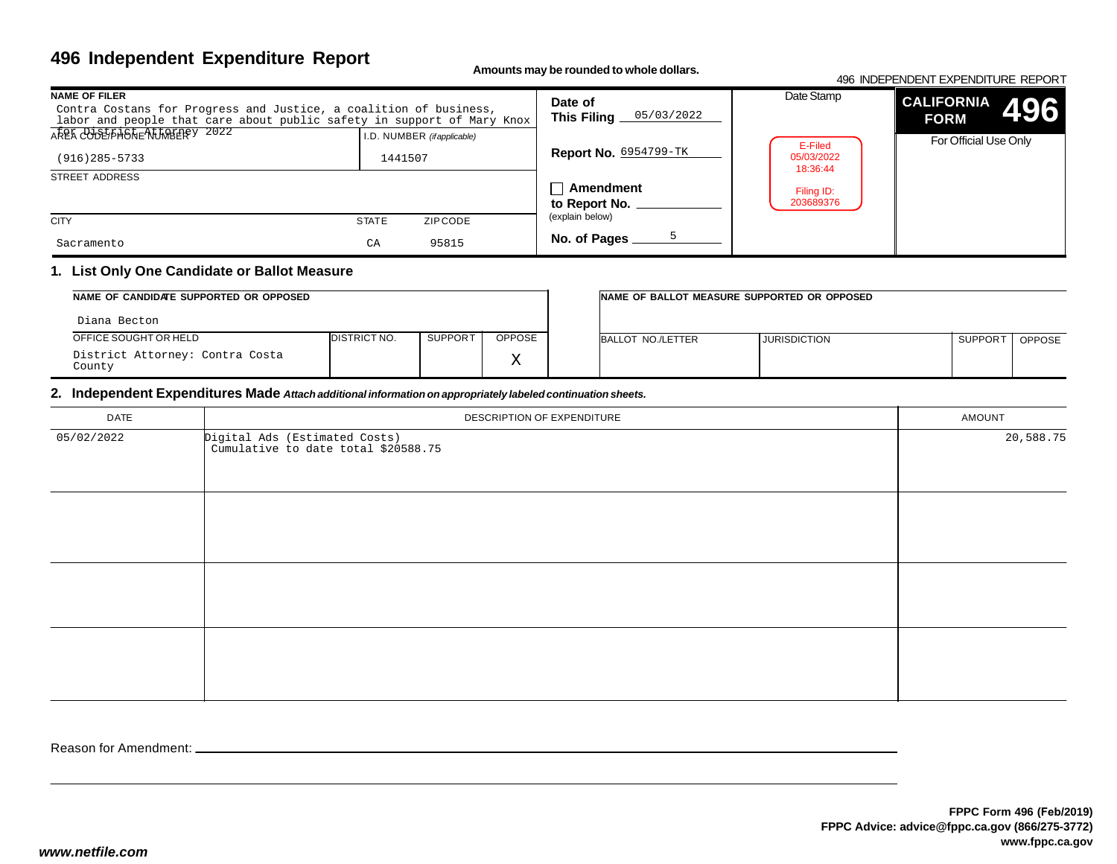**Amounts may be rounded to whole dollars.**

#### 496 INDEPENDENT EXPENDITURE REPORT

| <b>NAME OF FILER</b><br>Contra Costans for Progress and Justice, a coalition of business,<br>labor and people that care about public safety in support of Mary Knox |                                       | Date of<br>05/03/2022<br>This Filing | Date Stamp                        | <b>CALIFORNIA</b><br>496<br><b>FORM</b> |
|---------------------------------------------------------------------------------------------------------------------------------------------------------------------|---------------------------------------|--------------------------------------|-----------------------------------|-----------------------------------------|
| AREA COUPLANDREALIMBEREY 2022<br>$(916)$ 285-5733                                                                                                                   | I.D. NUMBER (ifapplicable)<br>1441507 | <b>Report No. 6954799-TK</b>         | E-Filed<br>05/03/2022<br>18:36:44 | For Official Use Only                   |
| STREET ADDRESS                                                                                                                                                      |                                       | <b>↑ Amendment</b><br>to Report No.  | Filing ID:<br>203689376           |                                         |
| <b>CITY</b>                                                                                                                                                         | <b>STATE</b><br>ZIPCODE               | (explain below)                      |                                   |                                         |
| Sacramento                                                                                                                                                          | 95815<br>CA                           | No. of Pages                         |                                   |                                         |

### **1. List Only One Candidate or Ballot Measure**

| NAME OF CANDIDATE SUPPORTED OR OPPOSED    |                      |         | INAME OF BALLOT MEASURE SUPPORTED OR OPPOSED |                   |                     |                     |               |
|-------------------------------------------|----------------------|---------|----------------------------------------------|-------------------|---------------------|---------------------|---------------|
| Diana Becton                              |                      |         |                                              |                   |                     |                     |               |
| OFFICE SOUGHT OR HELD                     | <b>IDISTRICT NO.</b> | SUPPORT | OPPOSE                                       | BALLOT NO./LETTER | <b>JURISDICTION</b> | SUPPOR <sup>-</sup> | <b>OPPOSE</b> |
| District Attorney: Contra Costa<br>County |                      |         | $\tau$<br>▵                                  |                   |                     |                     |               |

### **2. Independent Expenditures Made** *Attach additional information on appropriately labeled continuation sheets.*

| DATE       | DESCRIPTION OF EXPENDITURE                                           | AMOUNT    |
|------------|----------------------------------------------------------------------|-----------|
| 05/02/2022 | Digital Ads (Estimated Costs)<br>Cumulative to date total \$20588.75 | 20,588.75 |
|            |                                                                      |           |
|            |                                                                      |           |
|            |                                                                      |           |
|            |                                                                      |           |
|            |                                                                      |           |
|            |                                                                      |           |
|            |                                                                      |           |
|            |                                                                      |           |
|            |                                                                      |           |
|            |                                                                      |           |

Reason for Amendment: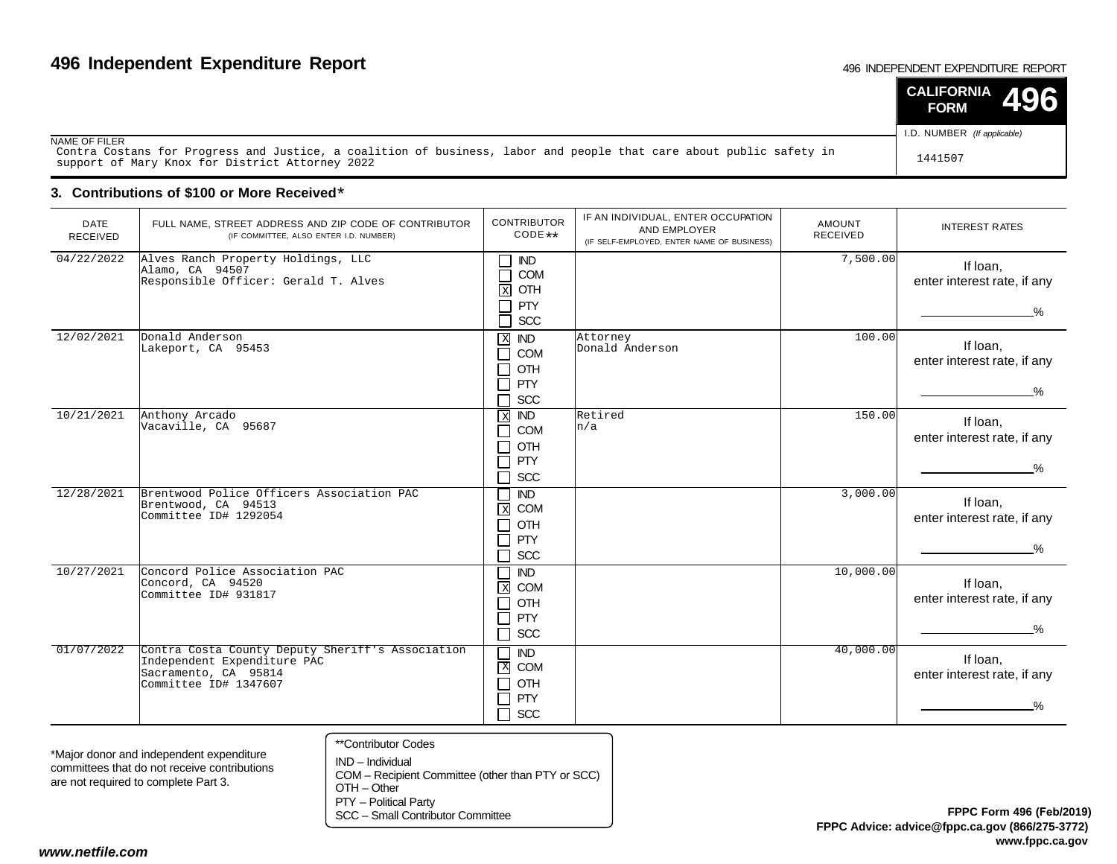#### 496 INDEPENDENT EXPENDITURE REPORT

|                                                                                                                                                                        | <b>CALIFORNIA</b><br><b>196</b><br><b>FORM</b> |
|------------------------------------------------------------------------------------------------------------------------------------------------------------------------|------------------------------------------------|
| NAME OF FILER                                                                                                                                                          | I.D. NUMBER (If applicable)                    |
| Contra Costans for Progress and Justice, a coalition of business, labor and people that care about public safety in<br>support of Mary Knox for District Attorney 2022 | 1441507                                        |

### **3. Contributions of \$100 or More Received**\*

| <b>DATE</b><br>RECEIVED | FULL NAME, STREET ADDRESS AND ZIP CODE OF CONTRIBUTOR<br>(IF COMMITTEE, ALSO ENTER I.D. NUMBER)                                  | <b>CONTRIBUTOR</b><br>CODE **                                                                                     | IF AN INDIVIDUAL, ENTER OCCUPATION<br>AND EMPLOYER<br>(IF SELF-EMPLOYED, ENTER NAME OF BUSINESS) | <b>AMOUNT</b><br><b>RECEIVED</b> | <b>INTEREST RATES</b>                                    |  |  |  |
|-------------------------|----------------------------------------------------------------------------------------------------------------------------------|-------------------------------------------------------------------------------------------------------------------|--------------------------------------------------------------------------------------------------|----------------------------------|----------------------------------------------------------|--|--|--|
| 04/22/2022              | Alves Ranch Property Holdings, LLC<br>Alamo, CA 94507<br>Responsible Officer: Gerald T. Alves                                    | IND<br>$\mathcal{L}_{\mathcal{A}}$<br>COM<br>OTH<br>$\mathbf X$<br>PTY                                            |                                                                                                  | 7,500.00                         | If loan,<br>enter interest rate, if any<br>$\frac{9}{6}$ |  |  |  |
|                         |                                                                                                                                  | SCC                                                                                                               |                                                                                                  |                                  |                                                          |  |  |  |
| 12/02/2021              | Donald Anderson<br>Lakeport, CA 95453                                                                                            | $\mathbf X$<br><b>IND</b><br><b>COM</b><br>┑<br>OTH<br>$\sim$<br><b>PTY</b><br>$\mathcal{L}_{\mathcal{A}}$<br>SCC | Attorney<br>Donald Anderson                                                                      | 100.00                           | If Ioan,<br>enter interest rate, if any<br>$\frac{9}{6}$ |  |  |  |
| 10/21/2021              | Anthony Arcado<br>Vacaville, CA 95687                                                                                            | $\overline{ND}$<br>$\overline{\mathbf{x}}$<br>COM<br>$\sim$<br>OTH<br>$\sim$<br>PTY<br>J.<br>SCC<br>$\Box$        | Retired<br>n/a                                                                                   | 150.00                           | If Ioan,<br>enter interest rate, if any<br>$\%$          |  |  |  |
| 12/28/2021              | Brentwood Police Officers Association PAC<br>Brentwood, CA 94513<br>Committee ID# 1292054                                        | $\overline{ND}$<br>$\,$ X<br>COM<br>OTH<br>PTY<br>SCC<br>$\mathcal{L}_{\mathcal{A}}$                              |                                                                                                  | 3,000.00                         | If Ioan,<br>enter interest rate, if any<br>%             |  |  |  |
| 10/27/2021              | Concord Police Association PAC<br>Concord, CA 94520<br>Committee ID# 931817                                                      | <b>IND</b><br>COM<br>$\boxed{\mathbf{X}}$<br>OTH<br>$\sim$<br><b>PTY</b><br>ㄱ<br>$\Box$<br>SCC                    |                                                                                                  | 10,000.00                        | If Ioan,<br>enter interest rate, if any<br>$\frac{0}{2}$ |  |  |  |
| 01/07/2022              | Contra Costa County Deputy Sheriff's Association<br>Independent Expenditure PAC<br>Sacramento, CA 95814<br>Committee ID# 1347607 | $\overline{ND}$<br>$\blacksquare$<br>$\mathbf{X}$<br>COM<br>OTH<br>ᄀ<br>PTY<br><b>SCC</b><br>П                    |                                                                                                  | 40,000.00                        | If Ioan,<br>enter interest rate, if any                  |  |  |  |
|                         | **Contributor Codes                                                                                                              |                                                                                                                   |                                                                                                  |                                  |                                                          |  |  |  |

\*Major donor and independent expenditure committees that do not receive contributionsare not required to complete Part 3.

- IND Individual COM – Recipient Committee (other than PTY or SCC)OTH – OtherPTY – Political Party
- SCC Small Contributor Committee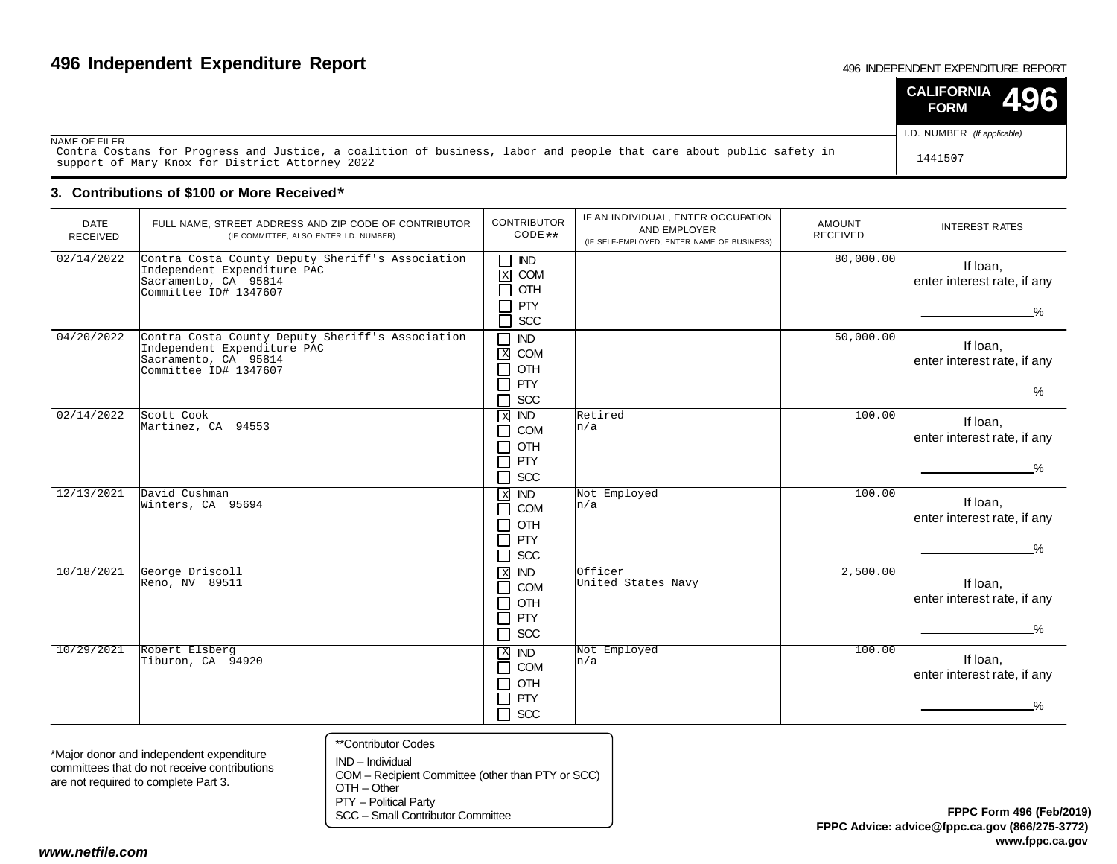#### 496 INDEPENDENT EXPENDITURE REPORT

|                                                                                                                                                                        | <b>CALIFORNIA</b><br>MORI<br><b>FORM</b> |
|------------------------------------------------------------------------------------------------------------------------------------------------------------------------|------------------------------------------|
| NAME OF FILER                                                                                                                                                          | I.D. NUMBER (If applicable)              |
| Contra Costans for Progress and Justice, a coalition of business, labor and people that care about public safety in<br>support of Mary Knox for District Attorney 2022 | 1441507                                  |

### **3. Contributions of \$100 or More Received**\*

| <b>DATE</b><br>RECEIVED | FULL NAME, STREET ADDRESS AND ZIP CODE OF CONTRIBUTOR<br>(IF COMMITTEE, ALSO ENTER I.D. NUMBER)                                  | <b>CONTRIBUTOR</b><br>CODE **                                                                               | IF AN INDIVIDUAL, ENTER OCCUPATION<br>AND EMPLOYER<br>(IF SELF-EMPLOYED, ENTER NAME OF BUSINESS) | <b>AMOUNT</b><br><b>RECEIVED</b> | <b>INTEREST RATES</b>                                    |
|-------------------------|----------------------------------------------------------------------------------------------------------------------------------|-------------------------------------------------------------------------------------------------------------|--------------------------------------------------------------------------------------------------|----------------------------------|----------------------------------------------------------|
| 02/14/2022              | Contra Costa County Deputy Sheriff's Association<br>Independent Expenditure PAC<br>Sacramento, CA 95814<br>Committee ID# 1347607 | $\sf IND$<br>┑<br>$\mathbf X$<br>COM<br>┓<br>OTH<br>Ξ<br><b>PTY</b><br>SCC<br>ᄀ                             |                                                                                                  | 80,000.00                        | If loan,<br>enter interest rate, if any<br>$\frac{0}{0}$ |
| 04/20/2022              | Contra Costa County Deputy Sheriff's Association<br>Independent Expenditure PAC<br>Sacramento, CA 95814<br>Committee ID# 1347607 | ┑<br><b>IND</b><br>$\mathbf X$<br>COM<br>OTH<br>$\mathcal{L}_{\mathcal{A}}$<br>PTY<br>SCC<br>$\blacksquare$ |                                                                                                  | 50,000.00                        | If loan,<br>enter interest rate, if any<br>$\frac{9}{6}$ |
| 02/14/2022              | Scott Cook<br>Martinez, CA 94553                                                                                                 | <b>IND</b><br>$\overline{X}$<br>COM<br>٦<br>OTH<br>┑<br>PTY<br>┑<br>SCC<br>□                                | Retired<br>n/a                                                                                   | 100.00                           | If Ioan,<br>enter interest rate, if any<br>$\frac{0}{2}$ |
| 12/13/2021              | David Cushman<br>Winters, CA 95694                                                                                               | $X$ IND<br>COM<br>$\blacksquare$<br>OTH<br>┑<br>┓<br>PTY<br>SCC<br>┓                                        | Not Employed<br>n/a                                                                              | 100.00                           | If loan,<br>enter interest rate, if any<br>$\frac{9}{6}$ |
| 10/18/2021              | George Driscoll<br>Reno, NV 89511                                                                                                | $X$ IND<br>COM<br>┑<br>OTH<br>┑<br>PTY<br>┑<br><b>SCC</b><br>$\Box$                                         | Officer<br>United States Navy                                                                    | 2,500.00                         | If loan,<br>enter interest rate, if any<br>$\%$          |
| 10/29/2021              | Robert Elsberg<br>Tiburon, CA 94920                                                                                              | $X$ IND<br>COM<br>$\Box$<br>OTH<br>┓<br>PTY<br>$\Box$<br>□<br><b>SCC</b>                                    | Not Employed<br>n/a                                                                              | 100.00                           | If loan,<br>enter interest rate, if any<br>$\%$          |

\*Major donor and independent expenditure committees that do not receive contributionsare not required to complete Part 3.

\*\*Contributor Codes

IND – Individual COM – Recipient Committee (other than PTY or SCC)OTH – Other

PTY – Political Party

SCC – Small Contributor Committee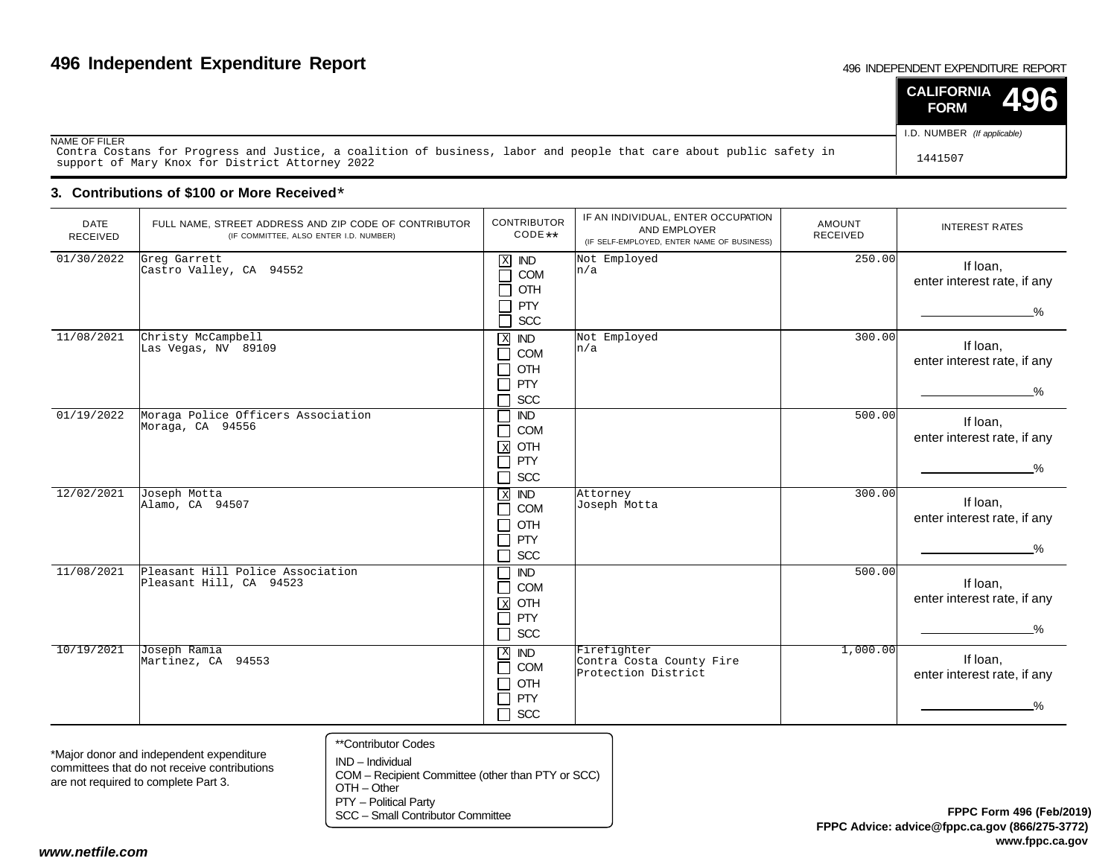#### 496 INDEPENDENT EXPENDITURE REPORT

|                                                                                                                                                                        | <b>CALIFORNIA</b><br><b>FORM</b> |
|------------------------------------------------------------------------------------------------------------------------------------------------------------------------|----------------------------------|
| NAME OF FILER                                                                                                                                                          | I.D. NUMBER (If applicable)      |
| Contra Costans for Progress and Justice, a coalition of business, labor and people that care about public safety in<br>support of Mary Knox for District Attorney 2022 | 1441507                          |

### **3. Contributions of \$100 or More Received**\*

| <b>DATE</b><br><b>RECEIVED</b> | FULL NAME, STREET ADDRESS AND ZIP CODE OF CONTRIBUTOR<br>(IF COMMITTEE, ALSO ENTER I.D. NUMBER) | <b>CONTRIBUTOR</b><br>CODE **                                              | IF AN INDIVIDUAL, ENTER OCCUPATION<br>AND EMPLOYER<br>(IF SELF-EMPLOYED, ENTER NAME OF BUSINESS) | <b>AMOUNT</b><br>RECEIVED | <b>INTEREST RATES</b>                                    |
|--------------------------------|-------------------------------------------------------------------------------------------------|----------------------------------------------------------------------------|--------------------------------------------------------------------------------------------------|---------------------------|----------------------------------------------------------|
| 01/30/2022                     | Greg Garrett<br>Castro Valley, CA 94552                                                         | $X$ IND<br>П<br>COM<br>OTH<br>П<br>┑<br>PTY<br>SCC<br>┓                    | Not Employed<br>n/a                                                                              | 250.00                    | If loan,<br>enter interest rate, if any<br>$\%$          |
| 11/08/2021                     | Christy McCampbell<br>Las Vegas, NV 89109                                                       | $X$ IND<br>COM<br>┓<br>OTH<br>┓<br>PTY<br>┐<br>SCC                         | Not Employed<br>n/a                                                                              | 300.00                    | If loan,<br>enter interest rate, if any<br>$\frac{9}{6}$ |
| 01/19/2022                     | Moraga Police Officers Association<br>Moraga, CA 94556                                          | $\overline{ND}$<br>COM<br>⊐<br>OTH<br>$\mathbf{x}$<br>PTY<br>П<br>SCC<br>П |                                                                                                  | 500.00                    | If loan,<br>enter interest rate, if any<br>$\%$          |
| 12/02/2021                     | Joseph Motta<br>Alamo, CA 94507                                                                 | $X$ IND<br>COM<br>٦<br>OTH<br>┑<br>PTY<br>П<br>SCC<br>┑                    | Attorney<br>Joseph Motta                                                                         | 300.00                    | If Ioan,<br>enter interest rate, if any<br>$\frac{9}{6}$ |
| 11/08/2021                     | Pleasant Hill Police Association<br>Pleasant Hill, CA 94523                                     | <b>IND</b><br>$\Box$<br>COM<br>$X$ OTH<br>$\Box$<br>PTY<br>$\Box$<br>SCC   |                                                                                                  | 500.00                    | If Ioan,<br>enter interest rate, if any<br>$\frac{0}{2}$ |
| 10/19/2021                     | Joseph Ramia<br>Martinez, CA 94553                                                              | $X$ <b>ND</b><br>COM<br>$\Box$<br>OTH<br>┑<br>PTY<br>┓<br>SCC<br>$\Box$    | Firefighter<br>Contra Costa County Fire<br>Protection District                                   | 1,000.00                  | If loan,<br>enter interest rate, if any<br>−%            |

\*Major donor and independent expenditure committees that do not receive contributionsare not required to complete Part 3.

- \*\*Contributor Codes
- IND Individual COM – Recipient Committee (other than PTY or SCC)OTH – Other

PTY – Political Party

SCC – Small Contributor Committee